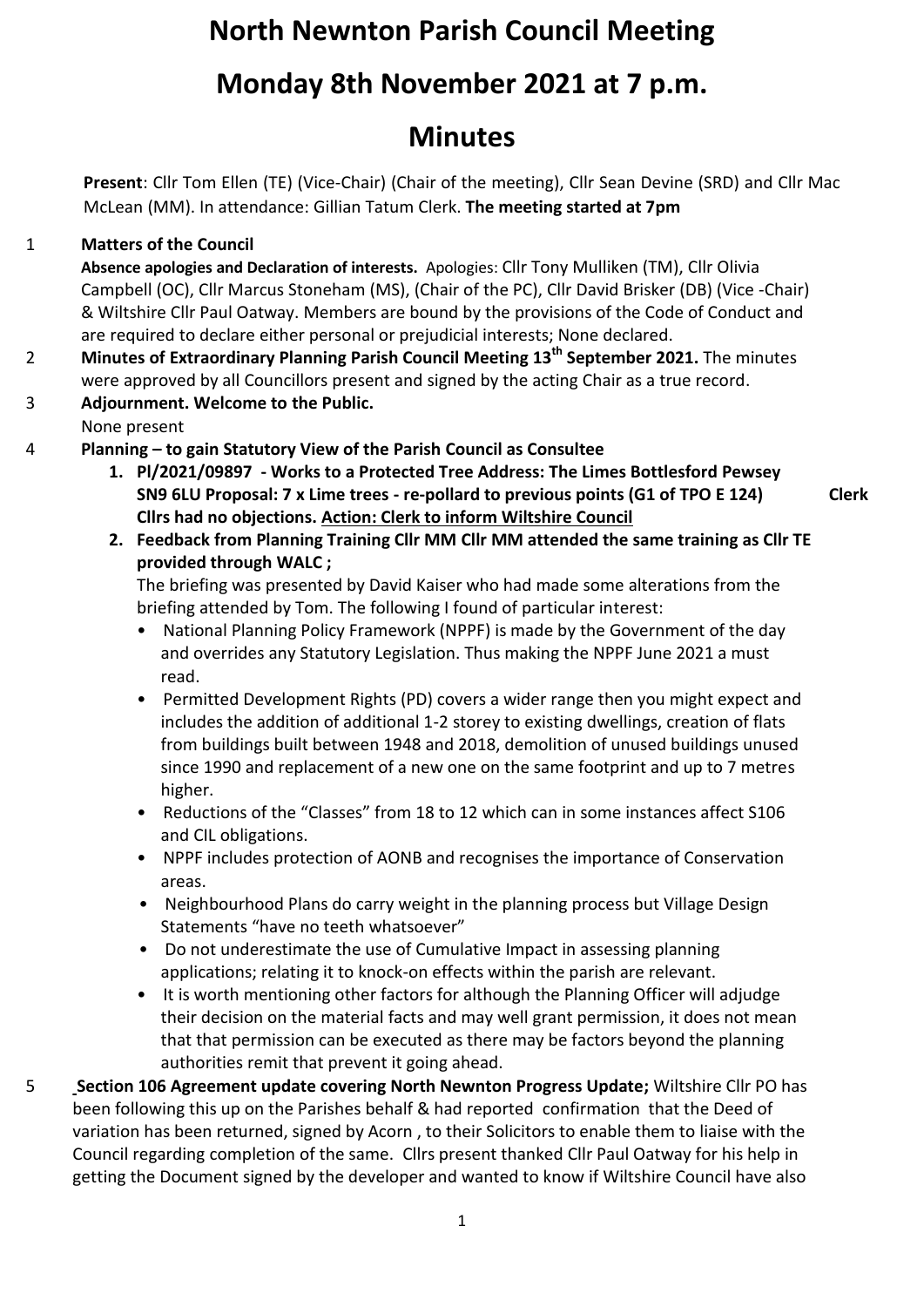# **North Newnton Parish Council Meeting**

# **Monday 8th November 2021 at 7 p.m.**

# **Minutes**

**Present**: Cllr Tom Ellen (TE) (Vice-Chair) (Chair of the meeting), Cllr Sean Devine (SRD) and Cllr Mac McLean (MM). In attendance: Gillian Tatum Clerk. **The meeting started at 7pm**

### 1 **Matters of the Council**

**Absence apologies and Declaration of interests.** Apologies: Cllr Tony Mulliken (TM), Cllr Olivia Campbell (OC), Cllr Marcus Stoneham (MS), (Chair of the PC), Cllr David Brisker (DB) (Vice -Chair) & Wiltshire Cllr Paul Oatway. Members are bound by the provisions of the Code of Conduct and are required to declare either personal or prejudicial interests; None declared.

- 2 **Minutes of Extraordinary Planning Parish Council Meeting 13th September 2021.** The minutes were approved by all Councillors present and signed by the acting Chair as a true record.
- 3 **Adjournment. Welcome to the Public.**
- None present
- 4 **Planning – to gain Statutory View of the Parish Council as Consultee**
	- **1. Pl/2021/09897 - Works to a Protected Tree Address: The Limes Bottlesford Pewsey SN9 6LU Proposal: 7 x Lime trees - re-pollard to previous points (G1 of TPO E 124) Cllrs had no objections. Action: Clerk to inform Wiltshire Council**

**Clerk**

**2. Feedback from Planning Training Cllr MM Cllr MM attended the same training as Cllr TE provided through WALC ;**

The briefing was presented by David Kaiser who had made some alterations from the briefing attended by Tom. The following I found of particular interest:

- National Planning Policy Framework (NPPF) is made by the Government of the day and overrides any Statutory Legislation. Thus making the NPPF June 2021 a must read.
- Permitted Development Rights (PD) covers a wider range then you might expect and includes the addition of additional 1-2 storey to existing dwellings, creation of flats from buildings built between 1948 and 2018, demolition of unused buildings unused since 1990 and replacement of a new one on the same footprint and up to 7 metres higher.
- Reductions of the "Classes" from 18 to 12 which can in some instances affect S106 and CIL obligations.
- NPPF includes protection of AONB and recognises the importance of Conservation areas.
- Neighbourhood Plans do carry weight in the planning process but Village Design Statements "have no teeth whatsoever"
- Do not underestimate the use of Cumulative Impact in assessing planning applications; relating it to knock-on effects within the parish are relevant.
- It is worth mentioning other factors for although the Planning Officer will adjudge their decision on the material facts and may well grant permission, it does not mean that that permission can be executed as there may be factors beyond the planning authorities remit that prevent it going ahead.
- 5 **Section 106 Agreement update covering North Newnton Progress Update;** Wiltshire Cllr PO has been following this up on the Parishes behalf & had reported confirmation that the Deed of variation has been returned, signed by Acorn , to their Solicitors to enable them to liaise with the Council regarding completion of the same. Cllrs present thanked Cllr Paul Oatway for his help in getting the Document signed by the developer and wanted to know if Wiltshire Council have also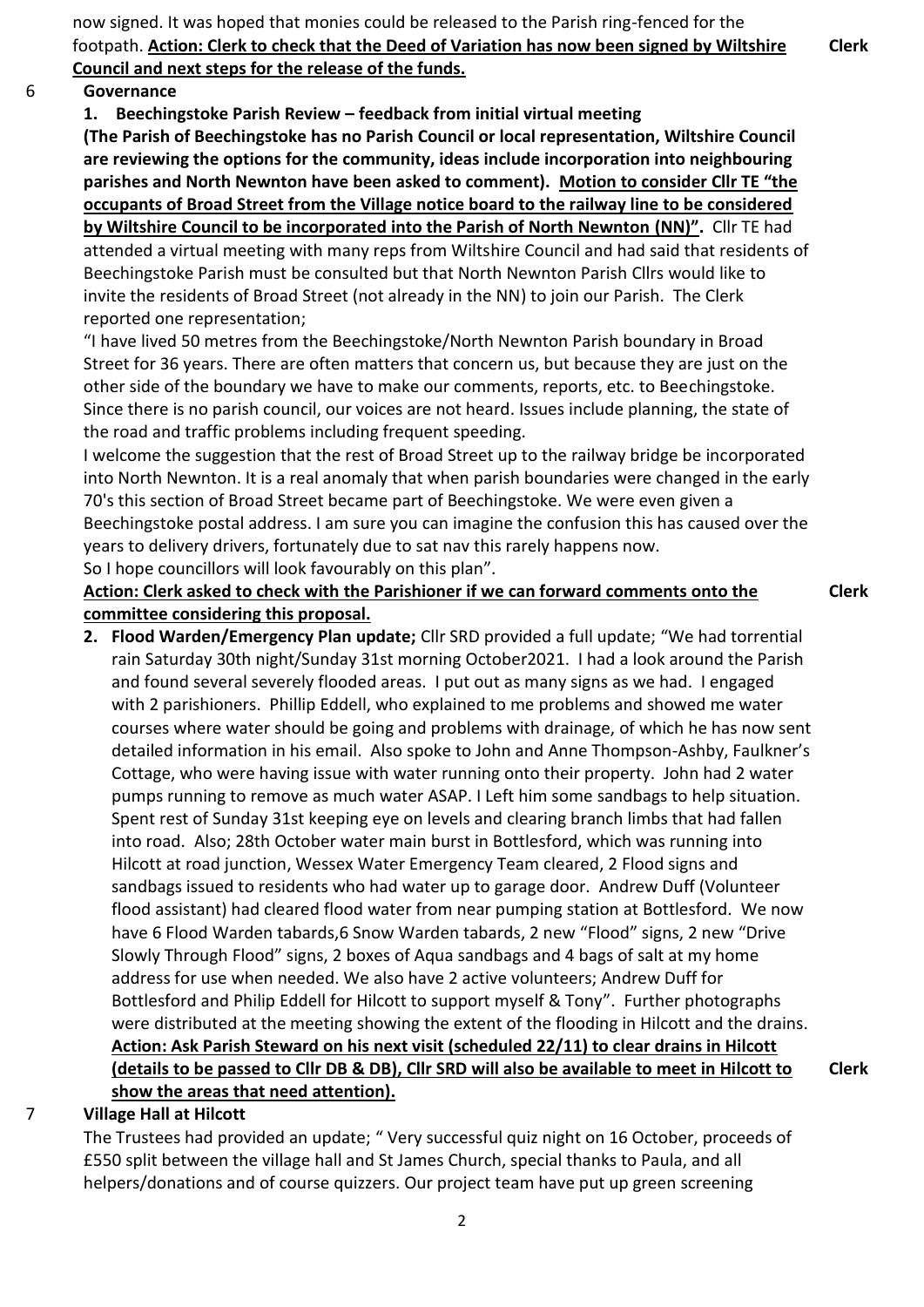now signed. It was hoped that monies could be released to the Parish ring-fenced for the footpath. **Action: Clerk to check that the Deed of Variation has now been signed by Wiltshire Council and next steps for the release of the funds.**

**Clerk**

**Clerk**

#### 6 **Governance**

**1. Beechingstoke Parish Review – feedback from initial virtual meeting** 

**(The Parish of Beechingstoke has no Parish Council or local representation, Wiltshire Council are reviewing the options for the community, ideas include incorporation into neighbouring parishes and North Newnton have been asked to comment). Motion to consider Cllr TE "the occupants of Broad Street from the Village notice board to the railway line to be considered by Wiltshire Council to be incorporated into the Parish of North Newnton (NN)".** Cllr TE had attended a virtual meeting with many reps from Wiltshire Council and had said that residents of

Beechingstoke Parish must be consulted but that North Newnton Parish Cllrs would like to invite the residents of Broad Street (not already in the NN) to join our Parish. The Clerk reported one representation;

"I have lived 50 metres from the Beechingstoke/North Newnton Parish boundary in Broad Street for 36 years. There are often matters that concern us, but because they are just on the other side of the boundary we have to make our comments, reports, etc. to Beechingstoke. Since there is no parish council, our voices are not heard. Issues include planning, the state of the road and traffic problems including frequent speeding.

I welcome the suggestion that the rest of Broad Street up to the railway bridge be incorporated into North Newnton. It is a real anomaly that when parish boundaries were changed in the early 70's this section of Broad Street became part of Beechingstoke. We were even given a Beechingstoke postal address. I am sure you can imagine the confusion this has caused over the years to delivery drivers, fortunately due to sat nav this rarely happens now. So I hope councillors will look favourably on this plan".

#### **Action: Clerk asked to check with the Parishioner if we can forward comments onto the committee considering this proposal.**

**2. Flood Warden/Emergency Plan update;** Cllr SRD provided a full update; "We had torrential rain Saturday 30th night/Sunday 31st morning October2021. I had a look around the Parish and found several severely flooded areas. I put out as many signs as we had. I engaged with 2 parishioners. Phillip Eddell, who explained to me problems and showed me water courses where water should be going and problems with drainage, of which he has now sent detailed information in his email. Also spoke to John and Anne Thompson-Ashby, Faulkner's Cottage, who were having issue with water running onto their property. John had 2 water pumps running to remove as much water ASAP. I Left him some sandbags to help situation. Spent rest of Sunday 31st keeping eye on levels and clearing branch limbs that had fallen into road. Also; 28th October water main burst in Bottlesford, which was running into Hilcott at road junction, Wessex Water Emergency Team cleared, 2 Flood signs and sandbags issued to residents who had water up to garage door. Andrew Duff (Volunteer flood assistant) had cleared flood water from near pumping station at Bottlesford. We now have 6 Flood Warden tabards,6 Snow Warden tabards, 2 new "Flood" signs, 2 new "Drive Slowly Through Flood" signs, 2 boxes of Aqua sandbags and 4 bags of salt at my home address for use when needed. We also have 2 active volunteers; Andrew Duff for Bottlesford and Philip Eddell for Hilcott to support myself & Tony". Further photographs were distributed at the meeting showing the extent of the flooding in Hilcott and the drains. **Action: Ask Parish Steward on his next visit (scheduled 22/11) to clear drains in Hilcott (details to be passed to Cllr DB & DB), Cllr SRD will also be available to meet in Hilcott to show the areas that need attention).**

#### 7 **Village Hall at Hilcott**

The Trustees had provided an update; " Very successful quiz night on 16 October, proceeds of £550 split between the village hall and St James Church, special thanks to Paula, and all helpers/donations and of course quizzers. Our project team have put up green screening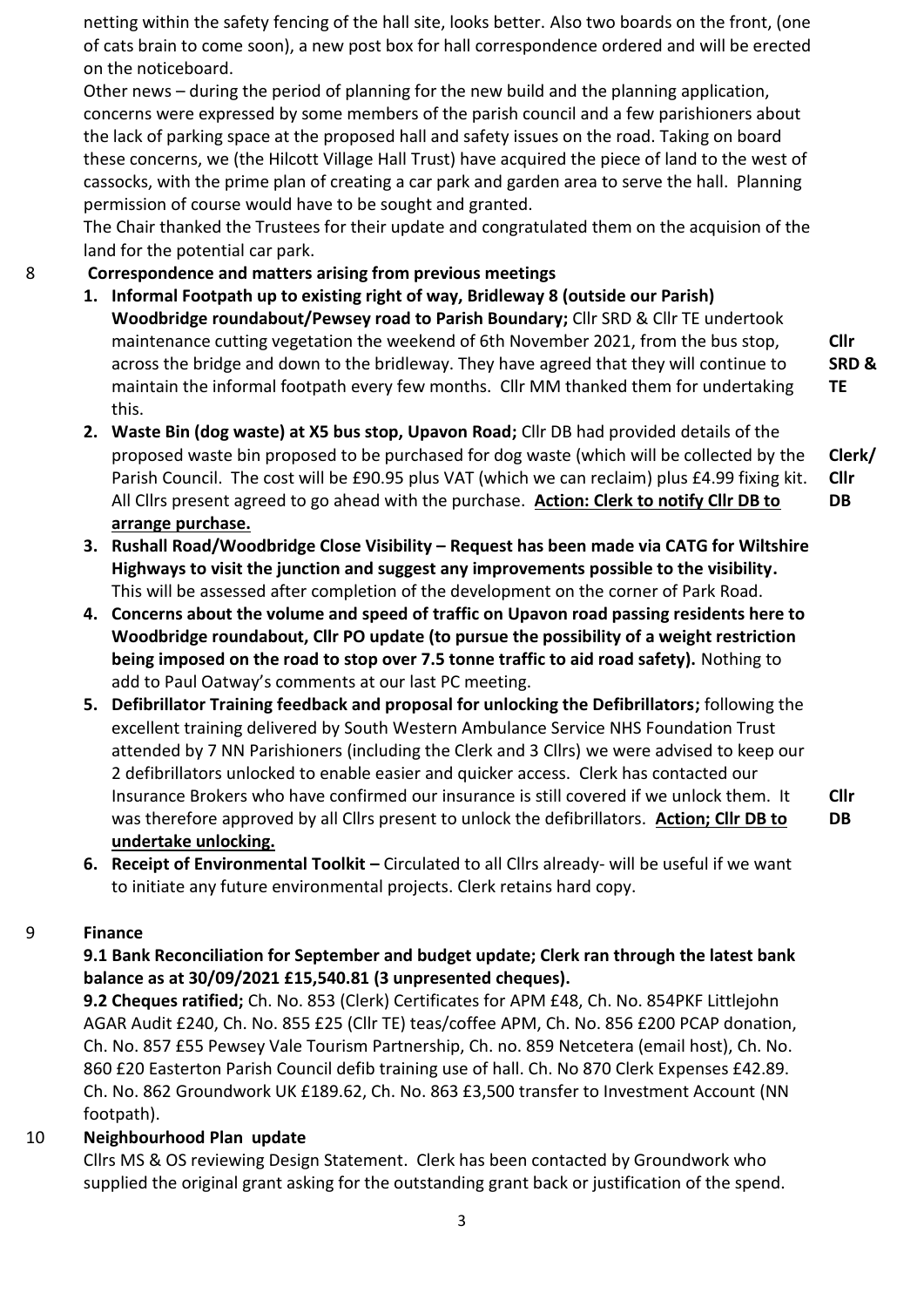netting within the safety fencing of the hall site, looks better. Also two boards on the front, (one of cats brain to come soon), a new post box for hall correspondence ordered and will be erected on the noticeboard.

Other news – during the period of planning for the new build and the planning application, concerns were expressed by some members of the parish council and a few parishioners about the lack of parking space at the proposed hall and safety issues on the road. Taking on board these concerns, we (the Hilcott Village Hall Trust) have acquired the piece of land to the west of cassocks, with the prime plan of creating a car park and garden area to serve the hall. Planning permission of course would have to be sought and granted.

The Chair thanked the Trustees for their update and congratulated them on the acquision of the land for the potential car park.

### 8 **Correspondence and matters arising from previous meetings**

- **1. Informal Footpath up to existing right of way, Bridleway 8 (outside our Parish) Woodbridge roundabout/Pewsey road to Parish Boundary;** Cllr SRD & Cllr TE undertook maintenance cutting vegetation the weekend of 6th November 2021, from the bus stop, across the bridge and down to the bridleway. They have agreed that they will continue to maintain the informal footpath every few months. Cllr MM thanked them for undertaking this.
- **2. Waste Bin (dog waste) at X5 bus stop, Upavon Road;** Cllr DB had provided details of the proposed waste bin proposed to be purchased for dog waste (which will be collected by the Parish Council. The cost will be £90.95 plus VAT (which we can reclaim) plus £4.99 fixing kit. All Cllrs present agreed to go ahead with the purchase. **Action: Clerk to notify Cllr DB to arrange purchase.**
- **3. Rushall Road/Woodbridge Close Visibility – Request has been made via CATG for Wiltshire Highways to visit the junction and suggest any improvements possible to the visibility.**  This will be assessed after completion of the development on the corner of Park Road.
- **4. Concerns about the volume and speed of traffic on Upavon road passing residents here to Woodbridge roundabout, Cllr PO update (to pursue the possibility of a weight restriction being imposed on the road to stop over 7.5 tonne traffic to aid road safety).** Nothing to add to Paul Oatway's comments at our last PC meeting.
- **5. Defibrillator Training feedback and proposal for unlocking the Defibrillators;** following the excellent training delivered by South Western Ambulance Service NHS Foundation Trust attended by 7 NN Parishioners (including the Clerk and 3 Cllrs) we were advised to keep our 2 defibrillators unlocked to enable easier and quicker access. Clerk has contacted our Insurance Brokers who have confirmed our insurance is still covered if we unlock them. It was therefore approved by all Cllrs present to unlock the defibrillators. **Action; Cllr DB to undertake unlocking.**
- **6.** Receipt of Environmental Toolkit Circulated to all Cllrs already- will be useful if we want to initiate any future environmental projects. Clerk retains hard copy.

#### 9 **Finance**

### **9.1 Bank Reconciliation for September and budget update; Clerk ran through the latest bank balance as at 30/09/2021 £15,540.81 (3 unpresented cheques).**

**9.2 Cheques ratified;** Ch. No. 853 (Clerk) Certificates for APM £48, Ch. No. 854PKF Littlejohn AGAR Audit £240, Ch. No. 855 £25 (Cllr TE) teas/coffee APM, Ch. No. 856 £200 PCAP donation, Ch. No. 857 £55 Pewsey Vale Tourism Partnership, Ch. no. 859 Netcetera (email host), Ch. No. 860 £20 Easterton Parish Council defib training use of hall. Ch. No 870 Clerk Expenses £42.89. Ch. No. 862 Groundwork UK £189.62, Ch. No. 863 £3,500 transfer to Investment Account (NN footpath).

#### 10 **Neighbourhood Plan update**

Cllrs MS & OS reviewing Design Statement. Clerk has been contacted by Groundwork who supplied the original grant asking for the outstanding grant back or justification of the spend.

**Cllr SRD & TE**

**Clerk/ Cllr DB**

**Cllr DB**

3